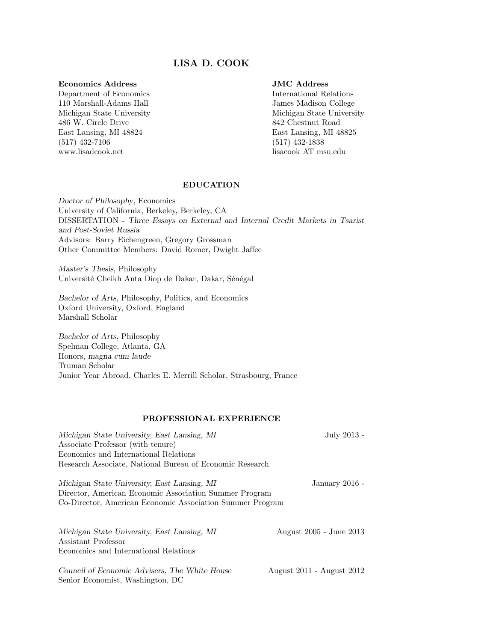# LISA D. COOK

#### Economics Address

Department of Economics 110 Marshall-Adams Hall Michigan State University 486 W. Circle Drive East Lansing, MI 48824 (517) 432-7106 www.lisadcook.net

# JMC Address

International Relations James Madison College Michigan State University 842 Chestnut Road East Lansing, MI 48825 (517) 432-1838 lisacook AT msu.edu

#### EDUCATION

Doctor of Philosophy, Economics University of California, Berkeley, Berkeley, CA DISSERTATION - Three Essays on External and Internal Credit Markets in Tsarist and Post-Soviet Russia Advisors: Barry Eichengreen, Gregory Grossman Other Committee Members: David Romer, Dwight Jaffee

Master's Thesis, Philosophy Université Cheikh Anta Diop de Dakar, Dakar, Sénégal

Bachelor of Arts, Philosophy, Politics, and Economics Oxford University, Oxford, England Marshall Scholar

Bachelor of Arts, Philosophy Spelman College, Atlanta, GA Honors, magna cum laude Truman Scholar Junior Year Abroad, Charles E. Merrill Scholar, Strasbourg, France

# PROFESSIONAL EXPERIENCE

| Michigan State University, East Lansing, MI               | July 2013 -             |
|-----------------------------------------------------------|-------------------------|
| Associate Professor (with tenure)                         |                         |
| Economics and International Relations                     |                         |
| Research Associate, National Bureau of Economic Research  |                         |
| Michigan State University, East Lansing, MI               | January 2016 -          |
| Director, American Economic Association Summer Program    |                         |
| Co-Director, American Economic Association Summer Program |                         |
|                                                           |                         |
| Michigan State University, East Lansing, MI               | August 2005 - June 2013 |

Assistant Professor Economics and International Relations

Council of Economic Advisers, The White House August 2011 - August 2012 Senior Economist, Washington, DC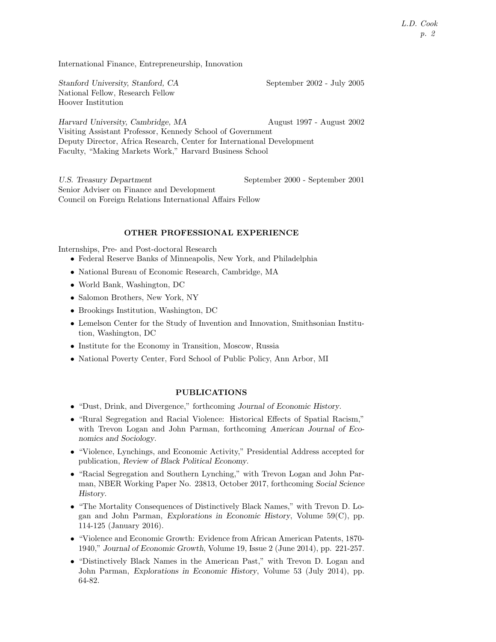International Finance, Entrepreneurship, Innovation

Stanford University, Stanford, CA September 2002 - July 2005 National Fellow, Research Fellow Hoover Institution

Harvard University, Cambridge, MA August 1997 - August 2002 Visiting Assistant Professor, Kennedy School of Government Deputy Director, Africa Research, Center for International Development Faculty, "Making Markets Work," Harvard Business School

U.S. Treasury Department September 2000 - September 2001 Senior Adviser on Finance and Development Council on Foreign Relations International Affairs Fellow

#### OTHER PROFESSIONAL EXPERIENCE

Internships, Pre- and Post-doctoral Research

- Federal Reserve Banks of Minneapolis, New York, and Philadelphia
- National Bureau of Economic Research, Cambridge, MA
- World Bank, Washington, DC
- Salomon Brothers, New York, NY
- Brookings Institution, Washington, DC
- Lemelson Center for the Study of Invention and Innovation, Smithsonian Institution, Washington, DC
- Institute for the Economy in Transition, Moscow, Russia
- National Poverty Center, Ford School of Public Policy, Ann Arbor, MI

# PUBLICATIONS

- "Dust, Drink, and Divergence," forthcoming Journal of Economic History.
- "Rural Segregation and Racial Violence: Historical Effects of Spatial Racism," with Trevon Logan and John Parman, forthcoming American Journal of Economics and Sociology.
- "Violence, Lynchings, and Economic Activity," Presidential Address accepted for publication, Review of Black Political Economy.
- "Racial Segregation and Southern Lynching," with Trevon Logan and John Parman, NBER Working Paper No. 23813, October 2017, forthcoming Social Science History.
- "The Mortality Consequences of Distinctively Black Names," with Trevon D. Logan and John Parman, Explorations in Economic History, Volume 59(C), pp. 114-125 (January 2016).
- "Violence and Economic Growth: Evidence from African American Patents, 1870- 1940," Journal of Economic Growth, Volume 19, Issue 2 (June 2014), pp. 221-257.
- "Distinctively Black Names in the American Past," with Trevon D. Logan and John Parman, Explorations in Economic History, Volume 53 (July 2014), pp. 64-82.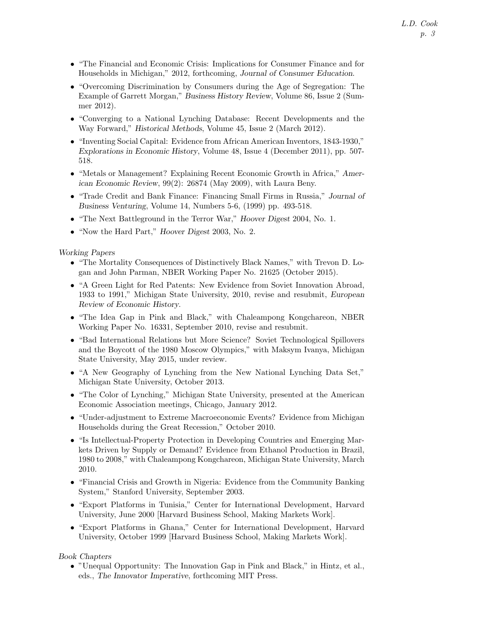- "The Financial and Economic Crisis: Implications for Consumer Finance and for Households in Michigan," 2012, forthcoming, Journal of Consumer Education.
- "Overcoming Discrimination by Consumers during the Age of Segregation: The Example of Garrett Morgan," Business History Review, Volume 86, Issue 2 (Summer 2012).
- "Converging to a National Lynching Database: Recent Developments and the Way Forward," Historical Methods, Volume 45, Issue 2 (March 2012).
- "Inventing Social Capital: Evidence from African American Inventors, 1843-1930," Explorations in Economic History, Volume 48, Issue 4 (December 2011), pp. 507- 518.
- "Metals or Management? Explaining Recent Economic Growth in Africa," American Economic Review, 99(2): 26874 (May 2009), with Laura Beny.
- "Trade Credit and Bank Finance: Financing Small Firms in Russia," Journal of Business Venturing, Volume 14, Numbers 5-6, (1999) pp. 493-518.
- "The Next Battleground in the Terror War," Hoover Digest 2004, No. 1.
- "Now the Hard Part," Hoover Digest 2003, No. 2.

## Working Papers

- "The Mortality Consequences of Distinctively Black Names," with Trevon D. Logan and John Parman, NBER Working Paper No. 21625 (October 2015).
- "A Green Light for Red Patents: New Evidence from Soviet Innovation Abroad, 1933 to 1991," Michigan State University, 2010, revise and resubmit, European Review of Economic History.
- "The Idea Gap in Pink and Black," with Chaleampong Kongchareon, NBER Working Paper No. 16331, September 2010, revise and resubmit.
- "Bad International Relations but More Science? Soviet Technological Spillovers and the Boycott of the 1980 Moscow Olympics," with Maksym Ivanya, Michigan State University, May 2015, under review.
- "A New Geography of Lynching from the New National Lynching Data Set," Michigan State University, October 2013.
- "The Color of Lynching," Michigan State University, presented at the American Economic Association meetings, Chicago, January 2012.
- "Under-adjustment to Extreme Macroeconomic Events? Evidence from Michigan Households during the Great Recession," October 2010.
- "Is Intellectual-Property Protection in Developing Countries and Emerging Markets Driven by Supply or Demand? Evidence from Ethanol Production in Brazil, 1980 to 2008," with Chaleampong Kongchareon, Michigan State University, March 2010.
- "Financial Crisis and Growth in Nigeria: Evidence from the Community Banking System," Stanford University, September 2003.
- "Export Platforms in Tunisia," Center for International Development, Harvard University, June 2000 [Harvard Business School, Making Markets Work].
- "Export Platforms in Ghana," Center for International Development, Harvard University, October 1999 [Harvard Business School, Making Markets Work].

## Book Chapters

• "Unequal Opportunity: The Innovation Gap in Pink and Black," in Hintz, et al., eds., The Innovator Imperative, forthcoming MIT Press.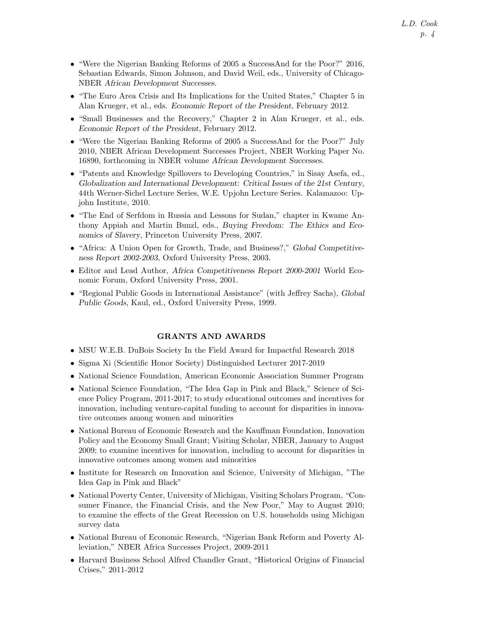- "Were the Nigerian Banking Reforms of 2005 a SuccessAnd for the Poor?" 2016, Sebastian Edwards, Simon Johnson, and David Weil, eds., University of Chicago-NBER African Development Successes.
- "The Euro Area Crisis and Its Implications for the United States," Chapter 5 in Alan Krueger, et al., eds. Economic Report of the President, February 2012.
- "Small Businesses and the Recovery," Chapter 2 in Alan Krueger, et al., eds. Economic Report of the President, February 2012.
- "Were the Nigerian Banking Reforms of 2005 a SuccessAnd for the Poor?" July 2010, NBER African Development Successes Project, NBER Working Paper No. 16890, forthcoming in NBER volume African Development Successes.
- "Patents and Knowledge Spillovers to Developing Countries," in Sisay Asefa, ed., Globalization and International Development: Critical Issues of the 21st Century, 44th Werner-Sichel Lecture Series, W.E. Upjohn Lecture Series. Kalamazoo: Upjohn Institute, 2010.
- "The End of Serfdom in Russia and Lessons for Sudan," chapter in Kwame Anthony Appiah and Martin Bunzl, eds., Buying Freedom: The Ethics and Economics of Slavery, Princeton University Press, 2007.
- "Africa: A Union Open for Growth, Trade, and Business?," Global Competitiveness Report 2002-2003, Oxford University Press, 2003.
- Editor and Lead Author, Africa Competitiveness Report 2000-2001 World Economic Forum, Oxford University Press, 2001.
- "Regional Public Goods in International Assistance" (with Jeffrey Sachs), Global Public Goods, Kaul, ed., Oxford University Press, 1999.

## GRANTS AND AWARDS

- MSU W.E.B. DuBois Society In the Field Award for Impactful Research 2018
- Sigma Xi (Scientific Honor Society) Distinguished Lecturer 2017-2019
- National Science Foundation, American Economic Association Summer Program
- National Science Foundation, "The Idea Gap in Pink and Black," Science of Science Policy Program, 2011-2017; to study educational outcomes and incentives for innovation, including venture-capital funding to account for disparities in innovative outcomes among women and minorities
- National Bureau of Economic Research and the Kauffman Foundation, Innovation Policy and the Economy Small Grant; Visiting Scholar, NBER, January to August 2009; to examine incentives for innovation, including to account for disparities in innovative outcomes among women and minorities
- Institute for Research on Innovation and Science, University of Michigan, "The Idea Gap in Pink and Black"
- National Poverty Center, University of Michigan, Visiting Scholars Program, "Consumer Finance, the Financial Crisis, and the New Poor," May to August 2010; to examine the effects of the Great Recession on U.S. households using Michigan survey data
- National Bureau of Economic Research, "Nigerian Bank Reform and Poverty Alleviation," NBER Africa Successes Project, 2009-2011
- Harvard Business School Alfred Chandler Grant, "Historical Origins of Financial Crises," 2011-2012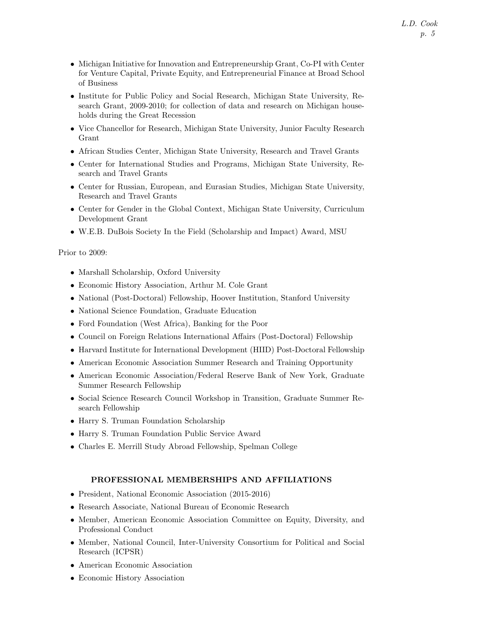- Michigan Initiative for Innovation and Entrepreneurship Grant, Co-PI with Center for Venture Capital, Private Equity, and Entrepreneurial Finance at Broad School of Business
- Institute for Public Policy and Social Research, Michigan State University, Research Grant, 2009-2010; for collection of data and research on Michigan households during the Great Recession
- Vice Chancellor for Research, Michigan State University, Junior Faculty Research Grant
- African Studies Center, Michigan State University, Research and Travel Grants
- Center for International Studies and Programs, Michigan State University, Research and Travel Grants
- Center for Russian, European, and Eurasian Studies, Michigan State University, Research and Travel Grants
- Center for Gender in the Global Context, Michigan State University, Curriculum Development Grant
- W.E.B. DuBois Society In the Field (Scholarship and Impact) Award, MSU

## Prior to 2009:

- Marshall Scholarship, Oxford University
- Economic History Association, Arthur M. Cole Grant
- National (Post-Doctoral) Fellowship, Hoover Institution, Stanford University
- National Science Foundation, Graduate Education
- Ford Foundation (West Africa), Banking for the Poor
- Council on Foreign Relations International Affairs (Post-Doctoral) Fellowship
- Harvard Institute for International Development (HIID) Post-Doctoral Fellowship
- American Economic Association Summer Research and Training Opportunity
- American Economic Association/Federal Reserve Bank of New York, Graduate Summer Research Fellowship
- Social Science Research Council Workshop in Transition, Graduate Summer Research Fellowship
- Harry S. Truman Foundation Scholarship
- Harry S. Truman Foundation Public Service Award
- Charles E. Merrill Study Abroad Fellowship, Spelman College

## PROFESSIONAL MEMBERSHIPS AND AFFILIATIONS

- President, National Economic Association (2015-2016)
- Research Associate, National Bureau of Economic Research
- Member, American Economic Association Committee on Equity, Diversity, and Professional Conduct
- Member, National Council, Inter-University Consortium for Political and Social Research (ICPSR)
- American Economic Association
- Economic History Association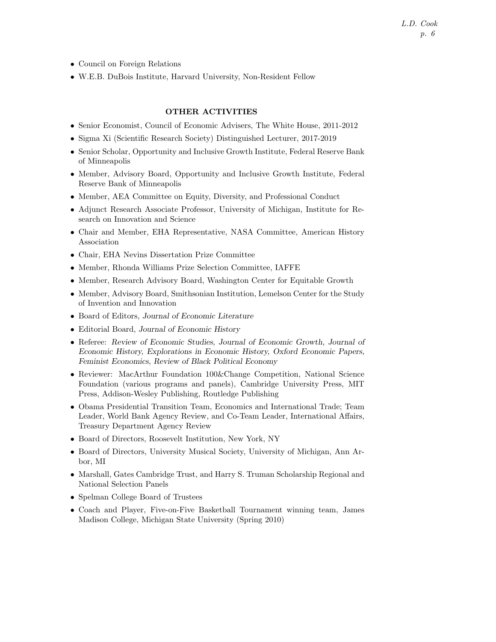- Council on Foreign Relations
- W.E.B. DuBois Institute, Harvard University, Non-Resident Fellow

# OTHER ACTIVITIES

- Senior Economist, Council of Economic Advisers, The White House, 2011-2012
- Sigma Xi (Scientific Research Society) Distinguished Lecturer, 2017-2019
- Senior Scholar, Opportunity and Inclusive Growth Institute, Federal Reserve Bank of Minneapolis
- Member, Advisory Board, Opportunity and Inclusive Growth Institute, Federal Reserve Bank of Minneapolis
- Member, AEA Committee on Equity, Diversity, and Professional Conduct
- Adjunct Research Associate Professor, University of Michigan, Institute for Research on Innovation and Science
- Chair and Member, EHA Representative, NASA Committee, American History Association
- Chair, EHA Nevins Dissertation Prize Committee
- Member, Rhonda Williams Prize Selection Committee, IAFFE
- Member, Research Advisory Board, Washington Center for Equitable Growth
- Member, Advisory Board, Smithsonian Institution, Lemelson Center for the Study of Invention and Innovation
- Board of Editors, Journal of Economic Literature
- Editorial Board, Journal of Economic History
- Referee: Review of Economic Studies, Journal of Economic Growth, Journal of Economic History, Explorations in Economic History, Oxford Economic Papers, Feminist Economics, Review of Black Political Economy
- Reviewer: MacArthur Foundation 100&Change Competition, National Science Foundation (various programs and panels), Cambridge University Press, MIT Press, Addison-Wesley Publishing, Routledge Publishing
- Obama Presidential Transition Team, Economics and International Trade; Team Leader, World Bank Agency Review, and Co-Team Leader, International Affairs, Treasury Department Agency Review
- Board of Directors, Roosevelt Institution, New York, NY
- Board of Directors, University Musical Society, University of Michigan, Ann Arbor, MI
- Marshall, Gates Cambridge Trust, and Harry S. Truman Scholarship Regional and National Selection Panels
- Spelman College Board of Trustees
- Coach and Player, Five-on-Five Basketball Tournament winning team, James Madison College, Michigan State University (Spring 2010)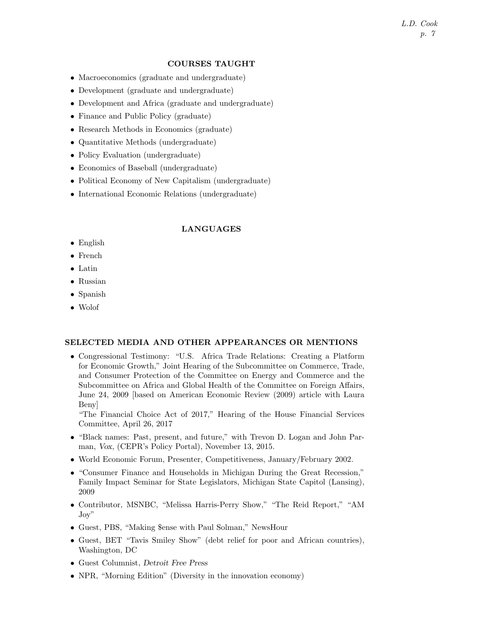# L.D. Cook p. 7

#### COURSES TAUGHT

- Macroeconomics (graduate and undergraduate)
- Development (graduate and undergraduate)
- Development and Africa (graduate and undergraduate)
- Finance and Public Policy (graduate)
- Research Methods in Economics (graduate)
- Quantitative Methods (undergraduate)
- Policy Evaluation (undergraduate)
- Economics of Baseball (undergraduate)
- Political Economy of New Capitalism (undergraduate)
- International Economic Relations (undergraduate)

#### LANGUAGES

- English
- French
- Latin
- Russian
- Spanish
- Wolof

#### SELECTED MEDIA AND OTHER APPEARANCES OR MENTIONS

• Congressional Testimony: "U.S. Africa Trade Relations: Creating a Platform for Economic Growth," Joint Hearing of the Subcommittee on Commerce, Trade, and Consumer Protection of the Committee on Energy and Commerce and the Subcommittee on Africa and Global Health of the Committee on Foreign Affairs, June 24, 2009 [based on American Economic Review (2009) article with Laura Beny]

"The Financial Choice Act of 2017," Hearing of the House Financial Services Committee, April 26, 2017

- "Black names: Past, present, and future," with Trevon D. Logan and John Parman, Vox, (CEPR's Policy Portal), November 13, 2015.
- World Economic Forum, Presenter, Competitiveness, January/February 2002.
- "Consumer Finance and Households in Michigan During the Great Recession," Family Impact Seminar for State Legislators, Michigan State Capitol (Lansing), 2009
- Contributor, MSNBC, "Melissa Harris-Perry Show," "The Reid Report," "AM Joy"
- Guest, PBS, "Making \$ense with Paul Solman," NewsHour
- Guest, BET "Tavis Smiley Show" (debt relief for poor and African countries), Washington, DC
- Guest Columnist, Detroit Free Press
- NPR, "Morning Edition" (Diversity in the innovation economy)